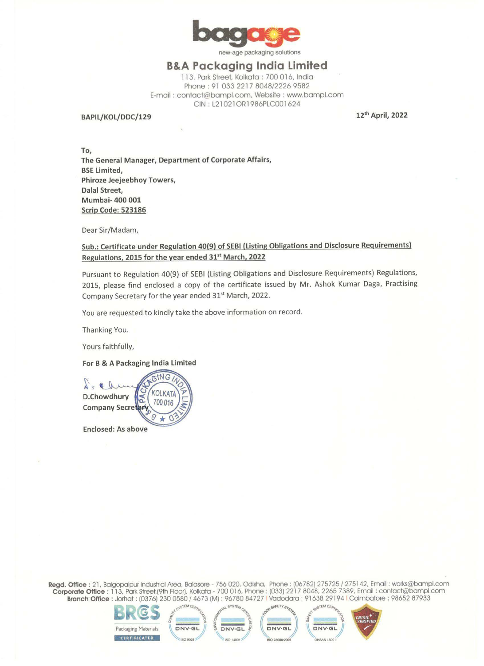

new-age packaging solutions

## **B&A Packaging India Limited**

113, Park Street, Kolkata : 700 016, India Phone: 91 033 2217 8048/2226 9582 E-mail : contact@bampl.com, Website : www.bampl.com CIN : L21021 ORl 986PLC001624

**BAPIL/KOL/DDC/129** 

**12th April, 2022** 

**To, The General Manager, Department of Corporate Affairs, BSE Limited, Phiroze Jeejeebhoy Towers, Dalal Street, Mumbai- 400 001 Scrip Code: 523186** 

Dear Sir/Madam,

**Sub.: Certificate under Regulation 40(9) of SEBI (Listing Obligations and Disclosure Requirements)**  Regulations, 2015 for the year ended 31<sup>st</sup> March, 2022

Pursuant to Regulation 40(9) of SEBI (Listing Obligations and Disclosure Requirements) Regulations, 2015, please find enclosed a copy of the certificate issued by Mr. Ashok Kumar Daga, Practising Company Secretary for the year ended 31<sup>st</sup> March, 2022.

You are requested to kindly take the above information on record.

Thanking You.

Yours faithfully,

## **For B** & **A Packaging India Limited**



**Regd. Office :** 21, Balgopalpur Industrial Area, Balasore - 756 020, Odisha, Phone: [06782) 275725 / 275142, Email: works@bampl.com **Corporate Office :** 113, Park Street,(9th Floor), Kolkata - 700 016, Phone : [033) 2217 8048, 2265 7389, Email: contact@bampl.com